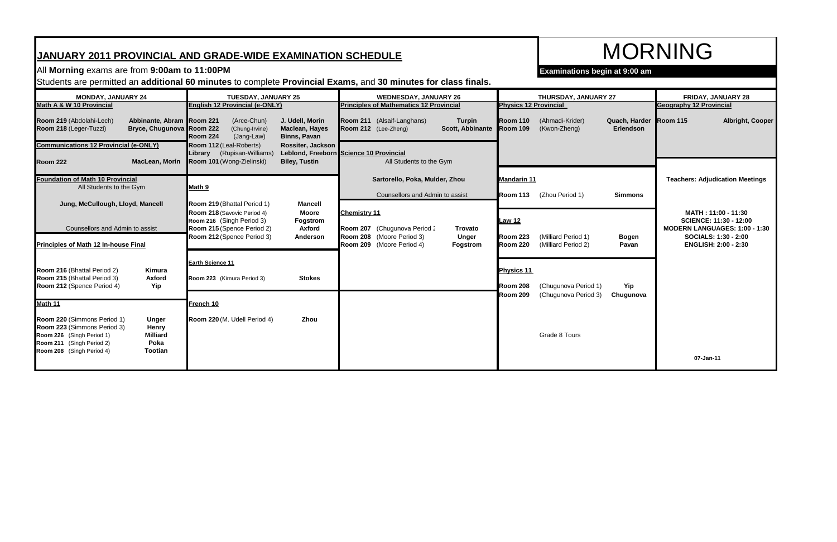## **JANUARY 2011 PROVINCIAL AND GRADE-WIDE EXAMINATION SCHEDULE**

## All **Morning** exams are from **9:00am to 11:00PM Examinations begin at 9:00 am**

Students are permitted an **additional 60 minutes** to complete **Provincial Exams,** and **30 minutes for class finals.**

| <b>MONDAY, JANUARY 24</b>                                                                                                                                                                                               | <b>TUESDAY, JANUARY 25</b>                                                                                                            | <b>WEDNESDAY, JANUARY 26</b>                                                                                                         | THURSDAY, JANUARY 27                                                                               | FRIDAY, JANUARY 28                                                                           |
|-------------------------------------------------------------------------------------------------------------------------------------------------------------------------------------------------------------------------|---------------------------------------------------------------------------------------------------------------------------------------|--------------------------------------------------------------------------------------------------------------------------------------|----------------------------------------------------------------------------------------------------|----------------------------------------------------------------------------------------------|
| Math A & W 10 Provincial                                                                                                                                                                                                | English 12 Provincial (e-ONLY)                                                                                                        | <b>Principles of Mathematics 12 Provincial</b>                                                                                       | <b>Physics 12 Provincial</b>                                                                       | <b>Geography 12 Provincial</b>                                                               |
| Abbinante, Abram Room 221<br>Room 219 (Abdolahi-Lech)<br>Bryce, Chugunova Room 222<br>Room 218 (Leger-Tuzzi)                                                                                                            | (Arce-Chun)<br>J. Udell, Morin<br>(Chung-Irvine)<br><b>Maclean, Hayes</b><br><b>Room 224</b><br>(Jang-Law)<br><b>Binns, Pavan</b>     | Room 211 (Alsaif-Langhans)<br><b>Turpin</b><br>Scott, Abbinante Room 109<br>Room 212 (Lee-Zheng)                                     | Quach, Harder Room 115<br><b>Room 110</b><br>(Ahmadi-Krider)<br>Erlendson<br>(Kwon-Zheng)          | <b>Albright, Cooper</b>                                                                      |
| <b>Communications 12 Provincial (e-ONLY)</b><br><b>MacLean, Morin</b><br><b>Room 222</b>                                                                                                                                | Room 112 (Leal-Roberts)<br>Rossiter, Jackson<br>(Rupisan-Williams)<br>Librarv<br>Room 101 (Wong-Zielinski)<br><b>Biley, Tustin</b>    | Leblond, Freeborn Science 10 Provincial<br>All Students to the Gym                                                                   |                                                                                                    |                                                                                              |
| <b>Foundation of Math 10 Provincial</b><br>All Students to the Gym                                                                                                                                                      | Math 9                                                                                                                                | Sartorello, Poka, Mulder, Zhou<br>Counsellors and Admin to assist                                                                    | Mandarin 11<br>(Zhou Period 1)<br>Room 113<br><b>Simmons</b>                                       | <b>Teachers: Adjudication Meetings</b>                                                       |
| Jung, McCullough, Lloyd, Mancell<br>Counsellors and Admin to assist                                                                                                                                                     | Room 219 (Bhattal Period 1)<br><b>Mancell</b><br>Room 218 (Savovic Period 4)<br><b>Moore</b><br>Room 216 (Singh Period 3)<br>Fogstrom | <b>Chemistry 11</b>                                                                                                                  | <b>Law 12</b>                                                                                      | MATH: 11:00 - 11:30<br><b>SCIENCE: 11:30 - 12:00</b><br><b>MODERN LANGUAGES: 1:00 - 1:30</b> |
| Principles of Math 12 In-house Final                                                                                                                                                                                    | Room 215 (Spence Period 2)<br><b>Axford</b><br>Room 212 (Spence Period 3)<br>Anderson                                                 | Room 207 (Chugunova Period 2<br><b>Trovato</b><br>Room 208 (Moore Period 3)<br><b>Unger</b><br>Room 209 (Moore Period 4)<br>Fogstrom | Room 223<br>(Milliard Period 1)<br><b>Bogen</b><br><b>Room 220</b><br>(Milliard Period 2)<br>Pavan | SOCIALS: 1:30 - 2:00<br><b>ENGLISH: 2:00 - 2:30</b>                                          |
| Room 216 (Bhattal Period 2)<br>Kimura<br>Room 215 (Bhattal Period 3)<br>Axford<br>Room 212 (Spence Period 4)<br>Yip                                                                                                     | Earth Science 11<br>Room 223 (Kimura Period 3)<br><b>Stokes</b>                                                                       |                                                                                                                                      | <b>Physics 11</b><br>(Chugunova Period 1)<br>Yip<br><b>Room 208</b>                                |                                                                                              |
| Math 11                                                                                                                                                                                                                 | French 10                                                                                                                             |                                                                                                                                      | <b>Room 209</b><br>(Chugunova Period 3)<br>Chugunova                                               |                                                                                              |
| Room 220 (Simmons Period 1)<br><b>Unger</b><br>Room 223 (Simmons Period 3)<br>Henry<br>Room 226 (Singh Period 1)<br><b>Milliard</b><br>Poka<br>Room 211 (Singh Period 2)<br>Room 208 (Singh Period 4)<br><b>Tootian</b> | Room 220 (M. Udell Period 4)<br>Zhou                                                                                                  |                                                                                                                                      | Grade 8 Tours                                                                                      |                                                                                              |
|                                                                                                                                                                                                                         |                                                                                                                                       |                                                                                                                                      |                                                                                                    | 07-Jan-11                                                                                    |

| THURSDAY, JANUARY 27                         |                            | FRIDAY, JANUARY 28             |                                                                                                                                                     |  |
|----------------------------------------------|----------------------------|--------------------------------|-----------------------------------------------------------------------------------------------------------------------------------------------------|--|
| rovincial                                    |                            | <b>Geography 12 Provincial</b> |                                                                                                                                                     |  |
| (Ahmadi-Krider)<br>(Kwon-Zheng)              | Quach, Harder<br>Erlendson | <b>Room 115</b>                | Albright, Cooper                                                                                                                                    |  |
|                                              |                            |                                |                                                                                                                                                     |  |
|                                              |                            |                                | <b>Teachers: Adjudication Meetings</b>                                                                                                              |  |
| (Zhou Period 1)                              | <b>Simmons</b>             |                                |                                                                                                                                                     |  |
| (Milliard Period 1)<br>(Milliard Period 2)   | <b>Bogen</b><br>Pavan      |                                | MATH: 11:00 - 11:30<br><b>SCIENCE: 11:30 - 12:00</b><br>MODERN LANGUAGES: 1:00 - 1:30<br><b>SOCIALS: 1:30 - 2:00</b><br><b>ENGLISH: 2:00 - 2:30</b> |  |
| (Chugunova Period 1)<br>(Chugunova Period 3) | Yip<br>Chugunova           |                                |                                                                                                                                                     |  |
| Grade 8 Tours                                |                            |                                |                                                                                                                                                     |  |
|                                              |                            |                                | 07-Jan-11                                                                                                                                           |  |

# MORNING